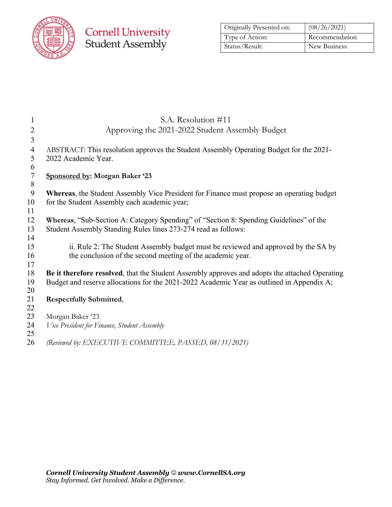

## **Cornell University**<br>Student Assembly

| Originally Presented on: | (08/26/2021)   |  |
|--------------------------|----------------|--|
| Type of Action:          | Recommendation |  |
| Status/Result:           | New Business   |  |

| 1              | S.A. Resolution #11                                                                              |
|----------------|--------------------------------------------------------------------------------------------------|
| $\overline{2}$ | Approving the 2021-2022 Student Assembly Budget                                                  |
| 3              |                                                                                                  |
| 4              | ABSTRACT: This resolution approves the Student Assembly Operating Budget for the 2021-           |
| 5              | 2022 Academic Year.                                                                              |
| 6              |                                                                                                  |
| $\tau$         | Sponsored by: Morgan Baker '23                                                                   |
| 8              |                                                                                                  |
| 9<br>10        | <b>Whereas, the Student Assembly Vice President for Finance must propose an operating budget</b> |
| 11             | for the Student Assembly each academic year;                                                     |
| 12             | Whereas, "Sub-Section A: Category Spending" of "Section 8: Spending Guidelines" of the           |
| 13             | Student Assembly Standing Rules lines 273-274 read as follows:                                   |
| 14             |                                                                                                  |
| 15             | ii. Rule 2: The Student Assembly budget must be reviewed and approved by the SA by               |
| 16             | the conclusion of the second meeting of the academic year.                                       |
| 17             |                                                                                                  |
| 18             | Be it therefore resolved, that the Student Assembly approves and adopts the attached Operating   |
| 19<br>20       | Budget and reserve allocations for the 2021-2022 Academic Year as outlined in Appendix A;        |
| 21             | <b>Respectfully Submitted,</b>                                                                   |
| 22             |                                                                                                  |
| 23             | Morgan Baker '23                                                                                 |
| 24             | Vice President for Finance, Student Assembly                                                     |
| 25             |                                                                                                  |
| 26             | (Reviewed by: EXECUTIVE COMMITTEE, PASSED, 08/31/2021)                                           |
|                |                                                                                                  |